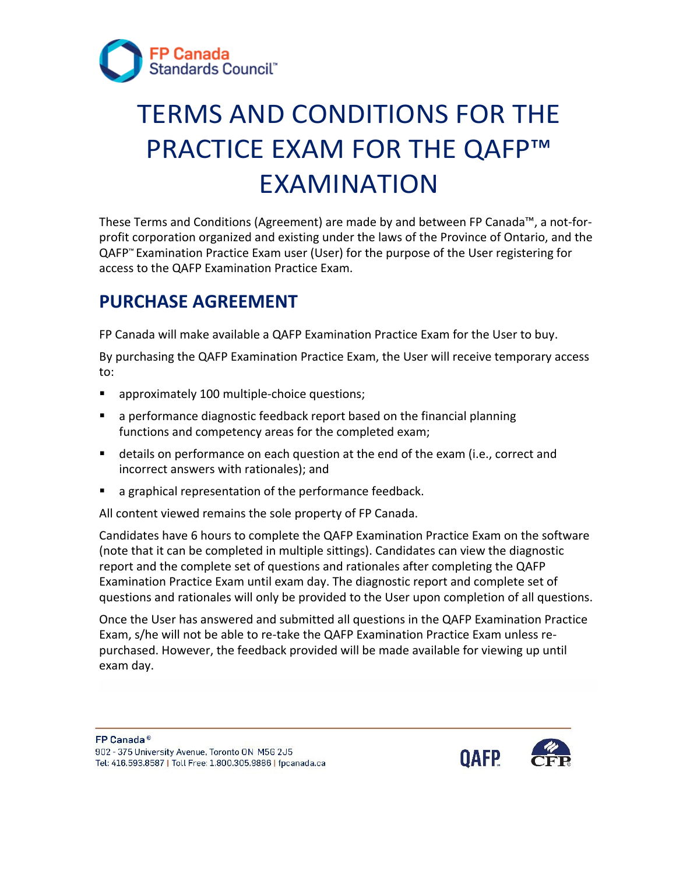

# TERMS AND CONDITIONS FOR THE PRACTICE EXAM FOR THE QAFP™ EXAMINATION

These Terms and Conditions (Agreement) are made by and between FP Canada™, a not-forprofit corporation organized and existing under the laws of the Province of Ontario, and the QAFP™ Examination Practice Exam user (User) for the purpose of the User registering for access to the QAFP Examination Practice Exam.

#### **PURCHASE AGREEMENT**

FP Canada will make available a QAFP Examination Practice Exam for the User to buy.

By purchasing the QAFP Examination Practice Exam, the User will receive temporary access to:

- **approximately 100 multiple-choice questions;**
- a performance diagnostic feedback report based on the financial planning functions and competency areas for the completed exam;
- details on performance on each question at the end of the exam (i.e., correct and incorrect answers with rationales); and
- **a** a graphical representation of the performance feedback.

All content viewed remains the sole property of FP Canada.

 Examination Practice Exam until exam day. The diagnostic report and complete set of Candidates have 6 hours to complete the QAFP Examination Practice Exam on the software (note that it can be completed in multiple sittings). Candidates can view the diagnostic report and the complete set of questions and rationales after completing the QAFP questions and rationales will only be provided to the User upon completion of all questions.

Once the User has answered and submitted all questions in the QAFP Examination Practice Exam, s/he will not be able to re-take the QAFP Examination Practice Exam unless repurchased. However, the feedback provided will be made available for viewing up until exam day.

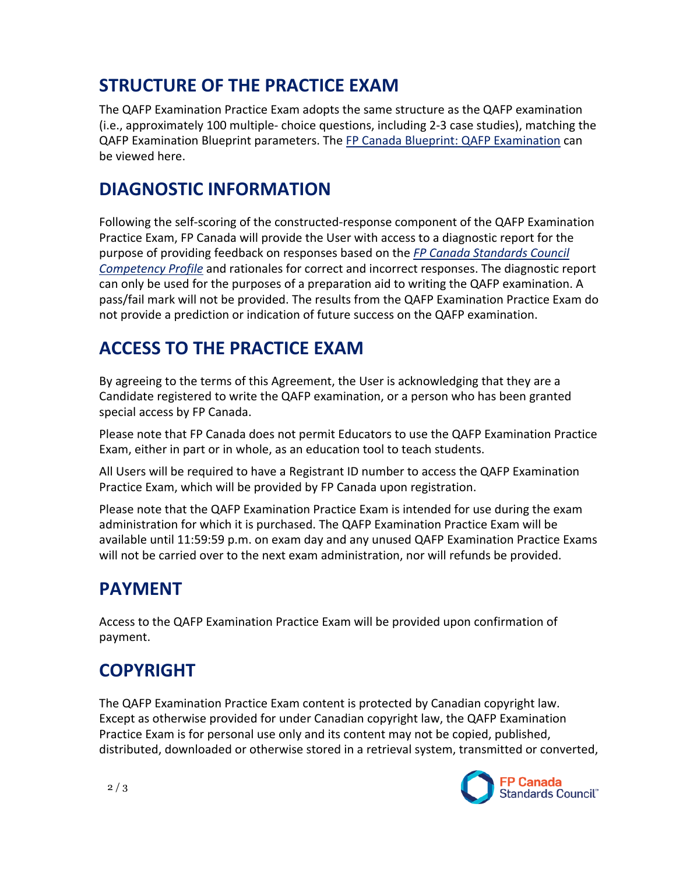### **STRUCTURE OF THE PRACTICE EXAM**

The QAFP Examination Practice Exam adopts the same structure as the QAFP examination (i.e., approximately 100 multiple- choice questions, including 2-3 case studies), matching the QAFP Examination Blueprint parameters. The [FP Canada Blueprint: QAFP Examination](https://www.fpcanada.ca/docs/default-source/standards/blueprint-qafp-examination.pdf) can be viewed here.

#### **DIAGNOSTIC INFORMATION**

Following the self-scoring of the constructed-response component of the QAFP Examination Practice Exam, FP Canada will provide the User with access to a diagnostic report for the purpose of providing feedback on responses based on the *[FP Canada Standards Council](https://www.fpcanada.ca/docs/default-source/standards/fp-canada-standards-council-competency-profile.pdf)  [Competency Profile](https://www.fpcanada.ca/docs/default-source/standards/fp-canada-standards-council-competency-profile.pdf)* and rationales for correct and incorrect responses. The diagnostic report can only be used for the purposes of a preparation aid to writing the QAFP examination. A pass/fail mark will not be provided. The results from the QAFP Examination Practice Exam do not provide a prediction or indication of future success on the QAFP examination.

#### **ACCESS TO THE PRACTICE EXAM**

By agreeing to the terms of this Agreement, the User is acknowledging that they are a Candidate registered to write the QAFP examination, or a person who has been granted special access by FP Canada.

Please note that FP Canada does not permit Educators to use the QAFP Examination Practice Exam, either in part or in whole, as an education tool to teach students.

All Users will be required to have a Registrant ID number to access the QAFP Examination Practice Exam, which will be provided by FP Canada upon registration.

Please note that the QAFP Examination Practice Exam is intended for use during the exam administration for which it is purchased. The QAFP Examination Practice Exam will be available until 11:59:59 p.m. on exam day and any unused QAFP Examination Practice Exams will not be carried over to the next exam administration, nor will refunds be provided.

### **PAYMENT**

Access to the QAFP Examination Practice Exam will be provided upon confirmation of payment.

## **COPYRIGHT**

The QAFP Examination Practice Exam content is protected by Canadian copyright law. Except as otherwise provided for under Canadian copyright law, the QAFP Examination Practice Exam is for personal use only and its content may not be copied, published, distributed, downloaded or otherwise stored in a retrieval system, transmitted or converted,